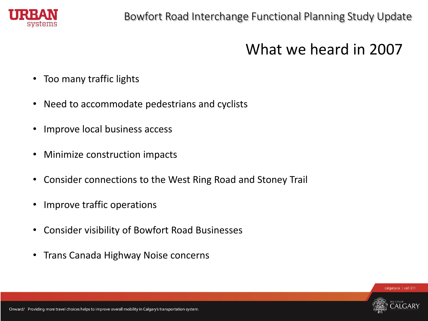

# What we heard in 2007

- Too many traffic lights
- Need to accommodate pedestrians and cyclists
- Improve local business access
- Minimize construction impacts
- Consider connections to the West Ring Road and Stoney Trail
- Improve traffic operations
- Consider visibility of Bowfort Road Businesses
- Trans Canada Highway Noise concerns

calgary.ca | call 311

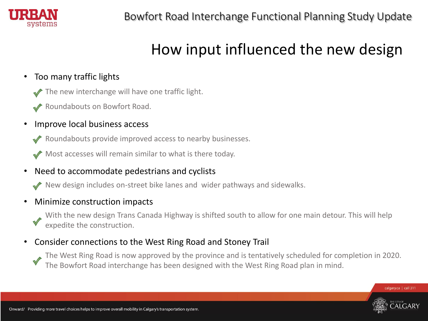

# How input influenced the new design

## • Too many traffic lights

The new interchange will have one traffic light.

Roundabouts on Bowfort Road.

#### Improve local business access

Roundabouts provide improved access to nearby businesses.

Most accesses will remain similar to what is there today.

### • Need to accommodate pedestrians and cyclists

New design includes on-street bike lanes and wider pathways and sidewalks.

### • Minimize construction impacts

With the new design Trans Canada Highway is shifted south to allow for one main detour. This will help expedite the construction.

### • Consider connections to the West Ring Road and Stoney Trail

The West Ring Road is now approved by the province and is tentatively scheduled for completion in 2020. The Bowfort Road interchange has been designed with the West Ring Road plan in mind.

calgary.ca | call 311